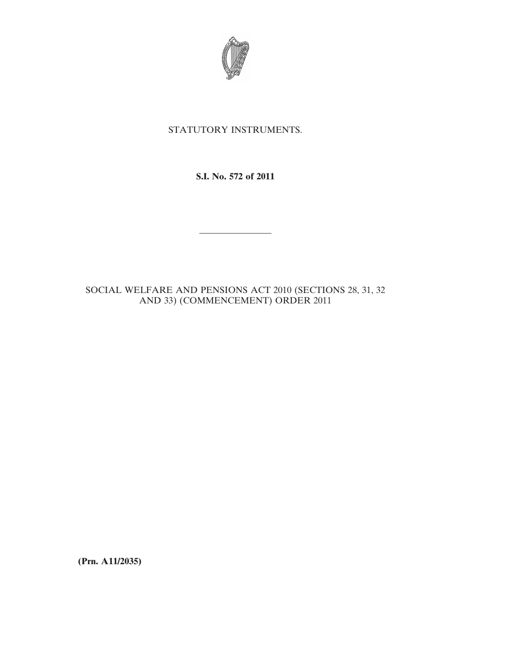

## STATUTORY INSTRUMENTS.

**S.I. No. 572 of 2011**

————————

## SOCIAL WELFARE AND PENSIONS ACT 2010 (SECTIONS 28, 31, 32 AND 33) (COMMENCEMENT) ORDER 2011

**(Prn. A11/2035)**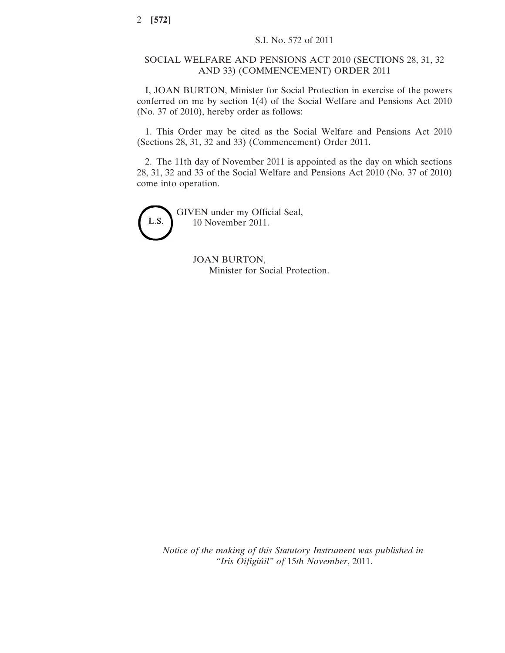## SOCIAL WELFARE AND PENSIONS ACT 2010 (SECTIONS 28, 31, 32 AND 33) (COMMENCEMENT) ORDER 2011

I, JOAN BURTON, Minister for Social Protection in exercise of the powers conferred on me by section 1(4) of the Social Welfare and Pensions Act 2010 (No. 37 of 2010), hereby order as follows:

1. This Order may be cited as the Social Welfare and Pensions Act 2010 (Sections 28, 31, 32 and 33) (Commencement) Order 2011.

2. The 11th day of November 2011 is appointed as the day on which sections 28, 31, 32 and 33 of the Social Welfare and Pensions Act 2010 (No. 37 of 2010) come into operation.



GIVEN under my Official Seal, 10 November 2011.

> JOAN BURTON, Minister for Social Protection.

*Notice of the making of this Statutory Instrument was published in "Iris Oifigiúil" of* 15*th November*, 2011.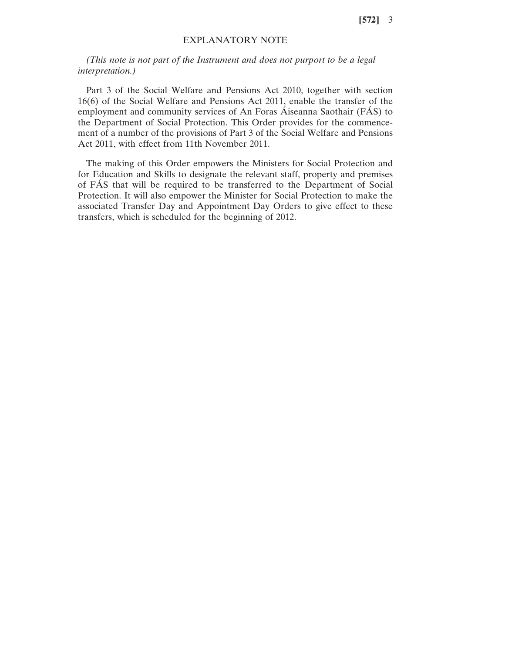**[572]** 3

## EXPLANATORY NOTE

*(This note is not part of the Instrument and does not purport to be a legal interpretation.)*

Part 3 of the Social Welfare and Pensions Act 2010, together with section 16(6) of the Social Welfare and Pensions Act 2011, enable the transfer of the employment and community services of An Foras Áiseanna Saothair (FÁS) to the Department of Social Protection. This Order provides for the commencement of a number of the provisions of Part 3 of the Social Welfare and Pensions Act 2011, with effect from 11th November 2011.

The making of this Order empowers the Ministers for Social Protection and for Education and Skills to designate the relevant staff, property and premises of FÁS that will be required to be transferred to the Department of Social Protection. It will also empower the Minister for Social Protection to make the associated Transfer Day and Appointment Day Orders to give effect to these transfers, which is scheduled for the beginning of 2012.